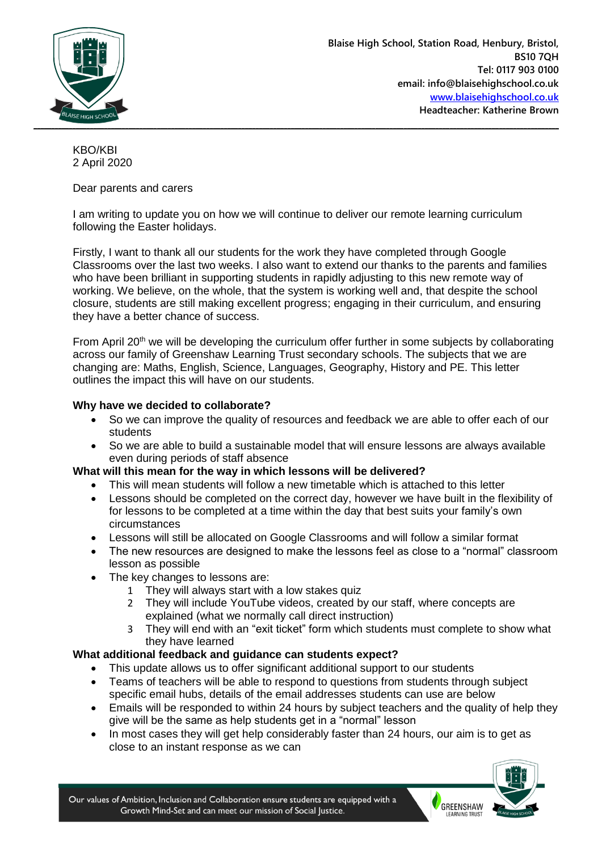

KBO/KBI 2 April 2020

## Dear parents and carers

I am writing to update you on how we will continue to deliver our remote learning curriculum following the Easter holidays.

Firstly, I want to thank all our students for the work they have completed through Google Classrooms over the last two weeks. I also want to extend our thanks to the parents and families who have been brilliant in supporting students in rapidly adjusting to this new remote way of working. We believe, on the whole, that the system is working well and, that despite the school closure, students are still making excellent progress; engaging in their curriculum, and ensuring they have a better chance of success.

From April  $20<sup>th</sup>$  we will be developing the curriculum offer further in some subjects by collaborating across our family of Greenshaw Learning Trust secondary schools. The subjects that we are changing are: Maths, English, Science, Languages, Geography, History and PE. This letter outlines the impact this will have on our students.

## **Why have we decided to collaborate?**

- So we can improve the quality of resources and feedback we are able to offer each of our students
- So we are able to build a sustainable model that will ensure lessons are always available even during periods of staff absence

## **What will this mean for the way in which lessons will be delivered?**

- This will mean students will follow a new timetable which is attached to this letter
- Lessons should be completed on the correct day, however we have built in the flexibility of for lessons to be completed at a time within the day that best suits your family's own circumstances
- Lessons will still be allocated on Google Classrooms and will follow a similar format
- The new resources are designed to make the lessons feel as close to a "normal" classroom lesson as possible
- The key changes to lessons are:
	- 1 They will always start with a low stakes quiz
	- 2 They will include YouTube videos, created by our staff, where concepts are explained (what we normally call direct instruction)
	- 3 They will end with an "exit ticket" form which students must complete to show what they have learned

## **What additional feedback and guidance can students expect?**

- This update allows us to offer significant additional support to our students
- Teams of teachers will be able to respond to questions from students through subject specific email hubs, details of the email addresses students can use are below
- Emails will be responded to within 24 hours by subject teachers and the quality of help they give will be the same as help students get in a "normal" lesson
- In most cases they will get help considerably faster than 24 hours, our aim is to get as close to an instant response as we can



**GREENSHAW**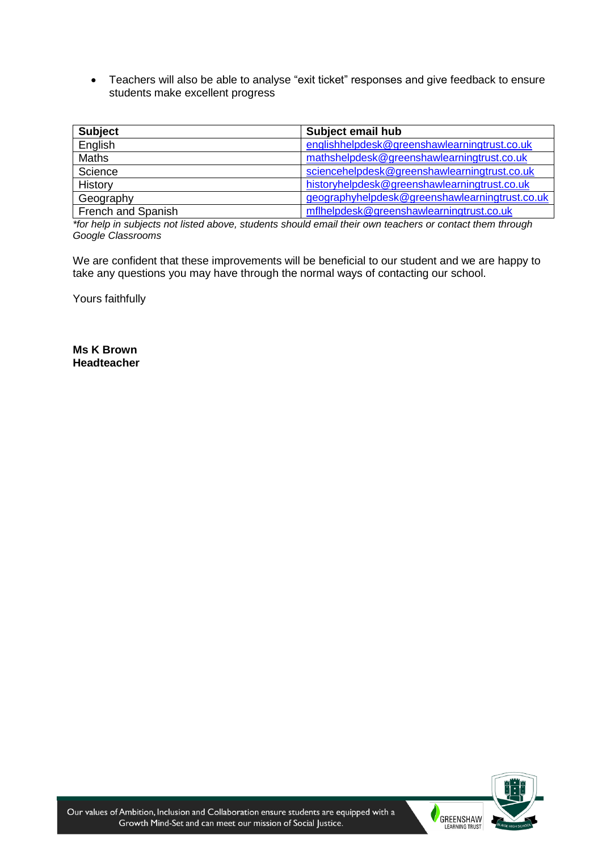Teachers will also be able to analyse "exit ticket" responses and give feedback to ensure students make excellent progress

| <b>Subject</b>     | Subject email hub                              |
|--------------------|------------------------------------------------|
| English            | englishhelpdesk@greenshawlearningtrust.co.uk   |
| Maths              | mathshelpdesk@greenshawlearningtrust.co.uk     |
| Science            | sciencehelpdesk@greenshawlearningtrust.co.uk   |
| History            | historyhelpdesk@greenshawlearningtrust.co.uk   |
| Geography          | geographyhelpdesk@greenshawlearningtrust.co.uk |
| French and Spanish | mflhelpdesk@greenshawlearningtrust.co.uk       |

*\*for help in subjects not listed above, students should email their own teachers or contact them through Google Classrooms*

We are confident that these improvements will be beneficial to our student and we are happy to take any questions you may have through the normal ways of contacting our school.

Yours faithfully

**Ms K Brown Headteacher**